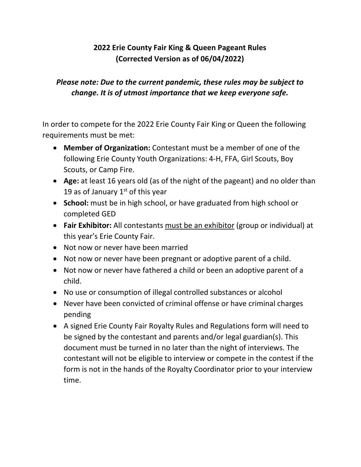## **2022 Erie County Fair King & Queen Pageant Rules (Corrected Version as of 06/04/2022)**

## *Please note: Due to the current pandemic, these rules may be subject to change. It is of utmost importance that we keep everyone safe.*

In order to compete for the 2022 Erie County Fair King or Queen the following requirements must be met:

- **Member of Organization:** Contestant must be a member of one of the following Erie County Youth Organizations: 4-H, FFA, Girl Scouts, Boy Scouts, or Camp Fire.
- **Age:** at least 16 years old (as of the night of the pageant) and no older than 19 as of January  $1<sup>st</sup>$  of this year
- **School:** must be in high school, or have graduated from high school or completed GED
- **Fair Exhibitor:** All contestants must be an exhibitor (group or individual) at this year's Erie County Fair.
- Not now or never have been married
- Not now or never have been pregnant or adoptive parent of a child.
- Not now or never have fathered a child or been an adoptive parent of a child.
- No use or consumption of illegal controlled substances or alcohol
- Never have been convicted of criminal offense or have criminal charges pending
- A signed Erie County Fair Royalty Rules and Regulations form will need to be signed by the contestant and parents and/or legal guardian(s). This document must be turned in no later than the night of interviews. The contestant will not be eligible to interview or compete in the contest if the form is not in the hands of the Royalty Coordinator prior to your interview time.